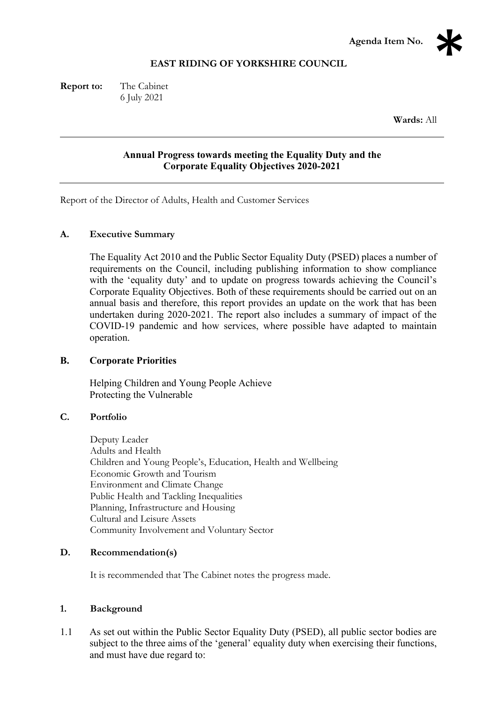

## **EAST RIDING OF YORKSHIRE COUNCIL**

**Report to:** The Cabinet 6 July 2021

**Wards:** All

# **Annual Progress towards meeting the Equality Duty and the Corporate Equality Objectives 2020-2021**

Report of the Director of Adults, Health and Customer Services

## **A. Executive Summary**

The Equality Act 2010 and the Public Sector Equality Duty (PSED) places a number of requirements on the Council, including publishing information to show compliance with the 'equality duty' and to update on progress towards achieving the Council's Corporate Equality Objectives. Both of these requirements should be carried out on an annual basis and therefore, this report provides an update on the work that has been undertaken during 2020-2021. The report also includes a summary of impact of the COVID-19 pandemic and how services, where possible have adapted to maintain operation.

#### **B. Corporate Priorities**

Helping Children and Young People Achieve Protecting the Vulnerable

## **C. Portfolio**

Deputy Leader Adults and Health Children and Young People's, Education, Health and Wellbeing Economic Growth and Tourism Environment and Climate Change Public Health and Tackling Inequalities Planning, Infrastructure and Housing Cultural and Leisure Assets Community Involvement and Voluntary Sector

## **D. Recommendation(s)**

It is recommended that The Cabinet notes the progress made.

## **1. Background**

1.1 As set out within the Public Sector Equality Duty (PSED), all public sector bodies are subject to the three aims of the 'general' equality duty when exercising their functions, and must have due regard to: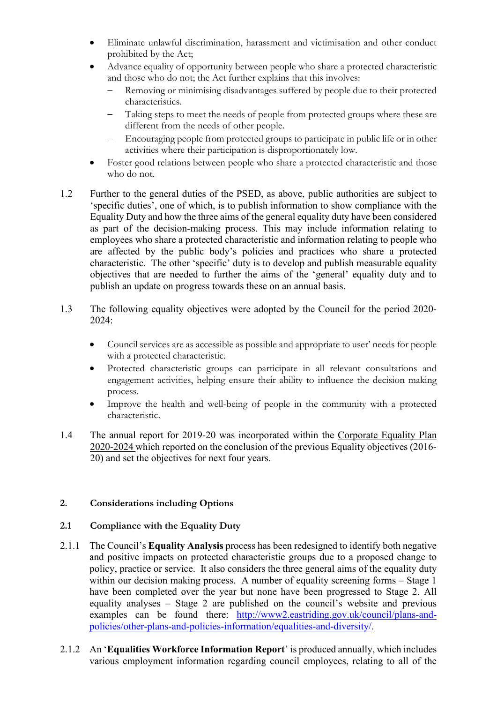- Eliminate unlawful discrimination, harassment and victimisation and other conduct prohibited by the Act;
- Advance equality of opportunity between people who share a protected characteristic and those who do not; the Act further explains that this involves:
	- Removing or minimising disadvantages suffered by people due to their protected characteristics.
	- − Taking steps to meet the needs of people from protected groups where these are different from the needs of other people.
	- Encouraging people from protected groups to participate in public life or in other activities where their participation is disproportionately low.
- Foster good relations between people who share a protected characteristic and those who do not.
- 1.2 Further to the general duties of the PSED, as above, public authorities are subject to 'specific duties', one of which, is to publish information to show compliance with the Equality Duty and how the three aims of the general equality duty have been considered as part of the decision-making process. This may include information relating to employees who share a protected characteristic and information relating to people who are affected by the public body's policies and practices who share a protected characteristic. The other 'specific' duty is to develop and publish measurable equality objectives that are needed to further the aims of the 'general' equality duty and to publish an update on progress towards these on an annual basis.
- 1.3 The following equality objectives were adopted by the Council for the period 2020- 2024:
	- Council services are as accessible as possible and appropriate to user' needs for people with a protected characteristic.
	- Protected characteristic groups can participate in all relevant consultations and engagement activities, helping ensure their ability to influence the decision making process.
	- Improve the health and well-being of people in the community with a protected characteristic.
- 1.4 The annual report for 2019-20 was incorporated within the Corporate Equality Plan 2020-2024 which reported on the conclusion of the previous Equality objectives (2016- 20) and set the objectives for next four years.

## **2. Considerations including Options**

## **2.1 Compliance with the Equality Duty**

- 2.1.1 The Council's **Equality Analysis** process has been redesigned to identify both negative and positive impacts on protected characteristic groups due to a proposed change to policy, practice or service. It also considers the three general aims of the equality duty within our decision making process. A number of equality screening forms – Stage 1 have been completed over the year but none have been progressed to Stage 2. All equality analyses – Stage 2 are published on the council's website and previous examples can be found there: [http://www2.eastriding.gov.uk/council/plans-and](http://www2.eastriding.gov.uk/council/plans-and-policies/other-plans-and-policies-information/equalities-and-diversity/)[policies/other-plans-and-policies-information/equalities-and-diversity/.](http://www2.eastriding.gov.uk/council/plans-and-policies/other-plans-and-policies-information/equalities-and-diversity/)
- 2.1.2 An '**Equalities Workforce Information Report**' is produced annually, which includes various employment information regarding council employees, relating to all of the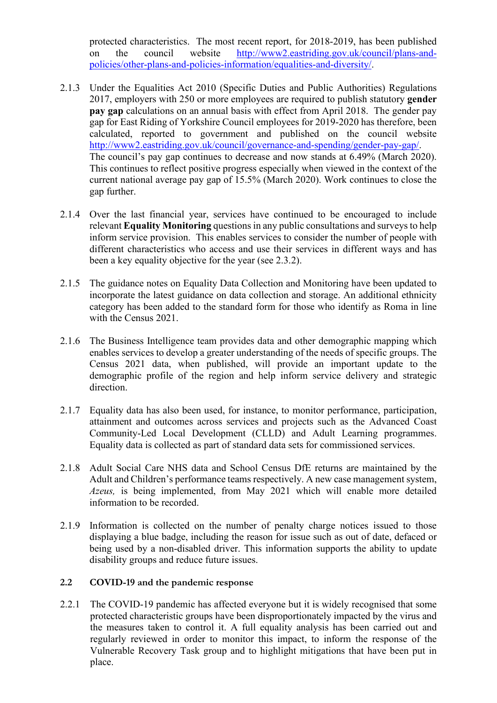protected characteristics. The most recent report, for 2018-2019, has been published on the council website [http://www2.eastriding.gov.uk/council/plans-and](http://www2.eastriding.gov.uk/council/plans-and-policies/other-plans-and-policies-information/equalities-and-diversity/)[policies/other-plans-and-policies-information/equalities-and-diversity/.](http://www2.eastriding.gov.uk/council/plans-and-policies/other-plans-and-policies-information/equalities-and-diversity/)

- 2.1.3 Under the Equalities Act 2010 (Specific Duties and Public Authorities) Regulations 2017, employers with 250 or more employees are required to publish statutory **gender pay gap** calculations on an annual basis with effect from April 2018. The gender pay gap for East Riding of Yorkshire Council employees for 2019-2020 has therefore, been calculated, reported to government and published on the council website [http://www2.eastriding.gov.uk/council/governance-and-spending/gender-pay-gap/.](http://www2.eastriding.gov.uk/council/governance-and-spending/gender-pay-gap/) The council's pay gap continues to decrease and now stands at 6.49% (March 2020). This continues to reflect positive progress especially when viewed in the context of the current national average pay gap of 15.5% (March 2020). Work continues to close the gap further.
- 2.1.4 Over the last financial year, services have continued to be encouraged to include relevant **Equality Monitoring** questions in any public consultations and surveys to help inform service provision. This enables services to consider the number of people with different characteristics who access and use their services in different ways and has been a key equality objective for the year (see 2.3.2).
- 2.1.5 The guidance notes on Equality Data Collection and Monitoring have been updated to incorporate the latest guidance on data collection and storage. An additional ethnicity category has been added to the standard form for those who identify as Roma in line with the Census 2021.
- 2.1.6 The Business Intelligence team provides data and other demographic mapping which enables services to develop a greater understanding of the needs of specific groups. The Census 2021 data, when published, will provide an important update to the demographic profile of the region and help inform service delivery and strategic direction.
- 2.1.7 Equality data has also been used, for instance, to monitor performance, participation, attainment and outcomes across services and projects such as the Advanced Coast Community-Led Local Development (CLLD) and Adult Learning programmes. Equality data is collected as part of standard data sets for commissioned services.
- 2.1.8 Adult Social Care NHS data and School Census DfE returns are maintained by the Adult and Children's performance teams respectively. A new case management system, *Azeus,* is being implemented, from May 2021 which will enable more detailed information to be recorded.
- 2.1.9 Information is collected on the number of penalty charge notices issued to those displaying a blue badge, including the reason for issue such as out of date, defaced or being used by a non-disabled driver. This information supports the ability to update disability groups and reduce future issues.

### **2.2 COVID-19 and the pandemic response**

2.2.1 The COVID-19 pandemic has affected everyone but it is widely recognised that some protected characteristic groups have been disproportionately impacted by the virus and the measures taken to control it. A full equality analysis has been carried out and regularly reviewed in order to monitor this impact, to inform the response of the Vulnerable Recovery Task group and to highlight mitigations that have been put in place.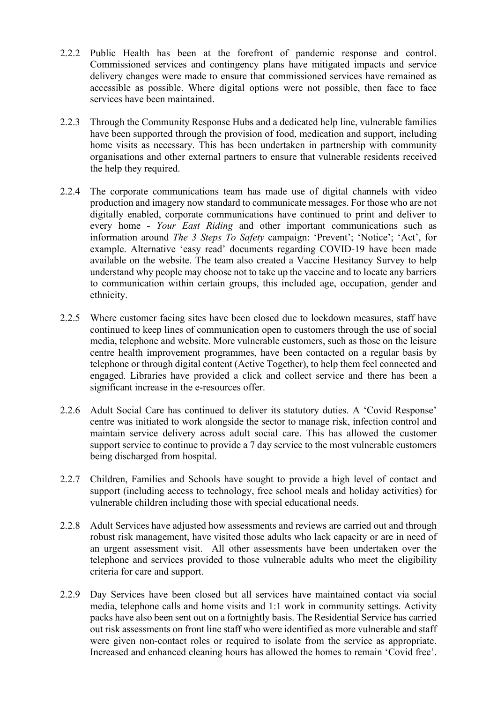- 2.2.2 Public Health has been at the forefront of pandemic response and control. Commissioned services and contingency plans have mitigated impacts and service delivery changes were made to ensure that commissioned services have remained as accessible as possible. Where digital options were not possible, then face to face services have been maintained.
- 2.2.3 Through the Community Response Hubs and a dedicated help line, vulnerable families have been supported through the provision of food, medication and support, including home visits as necessary. This has been undertaken in partnership with community organisations and other external partners to ensure that vulnerable residents received the help they required.
- 2.2.4 The corporate communications team has made use of digital channels with video production and imagery now standard to communicate messages. For those who are not digitally enabled, corporate communications have continued to print and deliver to every home - *Your East Riding* and other important communications such as information around *The 3 Steps To Safety* campaign: 'Prevent'; 'Notice'; 'Act', for example. Alternative 'easy read' documents regarding COVID-19 have been made available on the website. The team also created a Vaccine Hesitancy Survey to help understand why people may choose not to take up the vaccine and to locate any barriers to communication within certain groups, this included age, occupation, gender and ethnicity.
- 2.2.5 Where customer facing sites have been closed due to lockdown measures, staff have continued to keep lines of communication open to customers through the use of social media, telephone and website. More vulnerable customers, such as those on the leisure centre health improvement programmes, have been contacted on a regular basis by telephone or through digital content (Active Together), to help them feel connected and engaged. Libraries have provided a click and collect service and there has been a significant increase in the e-resources offer.
- 2.2.6 Adult Social Care has continued to deliver its statutory duties. A 'Covid Response' centre was initiated to work alongside the sector to manage risk, infection control and maintain service delivery across adult social care. This has allowed the customer support service to continue to provide a 7 day service to the most vulnerable customers being discharged from hospital.
- 2.2.7 Children, Families and Schools have sought to provide a high level of contact and support (including access to technology, free school meals and holiday activities) for vulnerable children including those with special educational needs.
- 2.2.8 Adult Services have adjusted how assessments and reviews are carried out and through robust risk management, have visited those adults who lack capacity or are in need of an urgent assessment visit. All other assessments have been undertaken over the telephone and services provided to those vulnerable adults who meet the eligibility criteria for care and support.
- 2.2.9 Day Services have been closed but all services have maintained contact via social media, telephone calls and home visits and 1:1 work in community settings. Activity packs have also been sent out on a fortnightly basis. The Residential Service has carried out risk assessments on front line staff who were identified as more vulnerable and staff were given non-contact roles or required to isolate from the service as appropriate. Increased and enhanced cleaning hours has allowed the homes to remain 'Covid free'.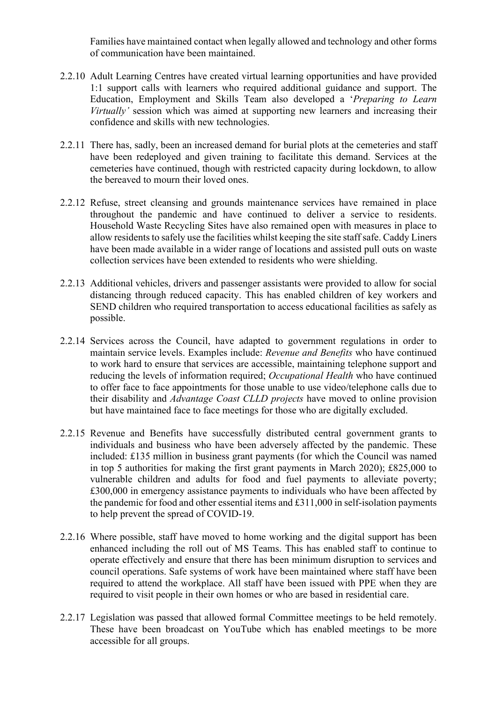Families have maintained contact when legally allowed and technology and other forms of communication have been maintained.

- 2.2.10 Adult Learning Centres have created virtual learning opportunities and have provided 1:1 support calls with learners who required additional guidance and support. The Education, Employment and Skills Team also developed a '*Preparing to Learn Virtually'* session which was aimed at supporting new learners and increasing their confidence and skills with new technologies.
- 2.2.11 There has, sadly, been an increased demand for burial plots at the cemeteries and staff have been redeployed and given training to facilitate this demand. Services at the cemeteries have continued, though with restricted capacity during lockdown, to allow the bereaved to mourn their loved ones.
- 2.2.12 Refuse, street cleansing and grounds maintenance services have remained in place throughout the pandemic and have continued to deliver a service to residents. Household Waste Recycling Sites have also remained open with measures in place to allow residents to safely use the facilities whilst keeping the site staff safe. Caddy Liners have been made available in a wider range of locations and assisted pull outs on waste collection services have been extended to residents who were shielding.
- 2.2.13 Additional vehicles, drivers and passenger assistants were provided to allow for social distancing through reduced capacity. This has enabled children of key workers and SEND children who required transportation to access educational facilities as safely as possible.
- 2.2.14 Services across the Council, have adapted to government regulations in order to maintain service levels. Examples include: *Revenue and Benefits* who have continued to work hard to ensure that services are accessible, maintaining telephone support and reducing the levels of information required; *Occupational Health* who have continued to offer face to face appointments for those unable to use video/telephone calls due to their disability and *Advantage Coast CLLD projects* have moved to online provision but have maintained face to face meetings for those who are digitally excluded.
- 2.2.15 Revenue and Benefits have successfully distributed central government grants to individuals and business who have been adversely affected by the pandemic. These included: £135 million in business grant payments (for which the Council was named in top 5 authorities for making the first grant payments in March 2020); £825,000 to vulnerable children and adults for food and fuel payments to alleviate poverty; £300,000 in emergency assistance payments to individuals who have been affected by the pandemic for food and other essential items and £311,000 in self-isolation payments to help prevent the spread of COVID-19.
- 2.2.16 Where possible, staff have moved to home working and the digital support has been enhanced including the roll out of MS Teams. This has enabled staff to continue to operate effectively and ensure that there has been minimum disruption to services and council operations. Safe systems of work have been maintained where staff have been required to attend the workplace. All staff have been issued with PPE when they are required to visit people in their own homes or who are based in residential care.
- 2.2.17 Legislation was passed that allowed formal Committee meetings to be held remotely. These have been broadcast on YouTube which has enabled meetings to be more accessible for all groups.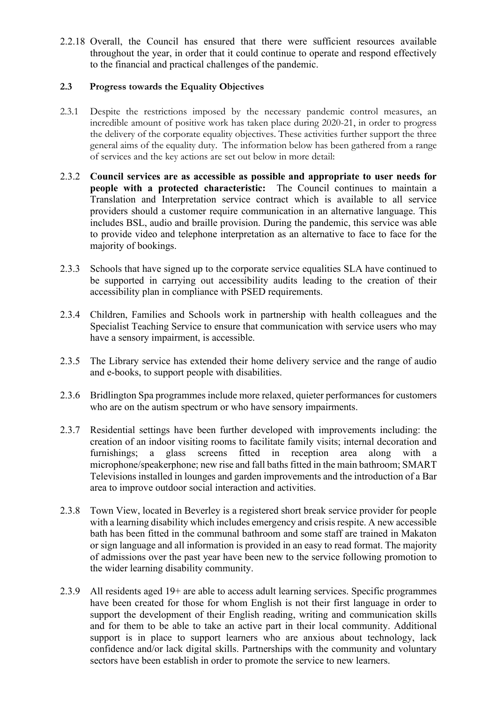2.2.18 Overall, the Council has ensured that there were sufficient resources available throughout the year, in order that it could continue to operate and respond effectively to the financial and practical challenges of the pandemic.

## **2.3 Progress towards the Equality Objectives**

- 2.3.1 Despite the restrictions imposed by the necessary pandemic control measures, an incredible amount of positive work has taken place during 2020-21, in order to progress the delivery of the corporate equality objectives. These activities further support the three general aims of the equality duty. The information below has been gathered from a range of services and the key actions are set out below in more detail:
- 2.3.2 **Council services are as accessible as possible and appropriate to user needs for people with a protected characteristic:** The Council continues to maintain a Translation and Interpretation service contract which is available to all service providers should a customer require communication in an alternative language. This includes BSL, audio and braille provision. During the pandemic, this service was able to provide video and telephone interpretation as an alternative to face to face for the majority of bookings.
- 2.3.3 Schools that have signed up to the corporate service equalities SLA have continued to be supported in carrying out accessibility audits leading to the creation of their accessibility plan in compliance with PSED requirements.
- 2.3.4 Children, Families and Schools work in partnership with health colleagues and the Specialist Teaching Service to ensure that communication with service users who may have a sensory impairment, is accessible.
- 2.3.5 The Library service has extended their home delivery service and the range of audio and e-books, to support people with disabilities.
- 2.3.6 Bridlington Spa programmes include more relaxed, quieter performances for customers who are on the autism spectrum or who have sensory impairments.
- 2.3.7 Residential settings have been further developed with improvements including: the creation of an indoor visiting rooms to facilitate family visits; internal decoration and furnishings; a glass screens fitted in reception area along with a microphone/speakerphone; new rise and fall baths fitted in the main bathroom; SMART Televisions installed in lounges and garden improvements and the introduction of a Bar area to improve outdoor social interaction and activities.
- 2.3.8 Town View, located in Beverley is a registered short break service provider for people with a learning disability which includes emergency and crisis respite. A new accessible bath has been fitted in the communal bathroom and some staff are trained in Makaton or sign language and all information is provided in an easy to read format. The majority of admissions over the past year have been new to the service following promotion to the wider learning disability community.
- 2.3.9 All residents aged 19+ are able to access adult learning services. Specific programmes have been created for those for whom English is not their first language in order to support the development of their English reading, writing and communication skills and for them to be able to take an active part in their local community. Additional support is in place to support learners who are anxious about technology, lack confidence and/or lack digital skills. Partnerships with the community and voluntary sectors have been establish in order to promote the service to new learners.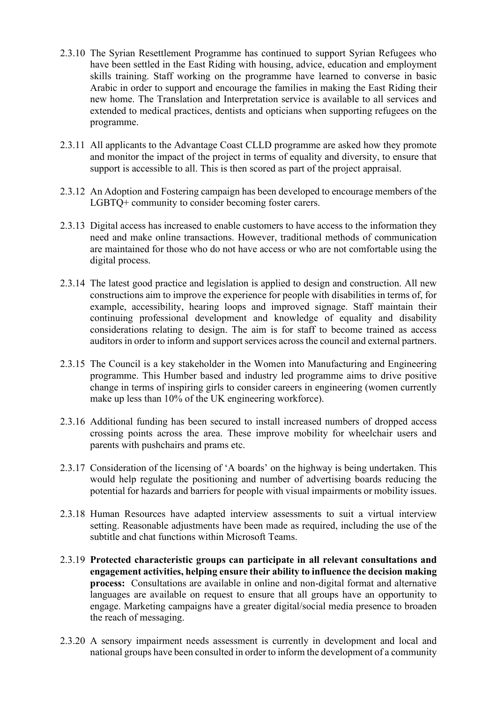- 2.3.10 The Syrian Resettlement Programme has continued to support Syrian Refugees who have been settled in the East Riding with housing, advice, education and employment skills training. Staff working on the programme have learned to converse in basic Arabic in order to support and encourage the families in making the East Riding their new home. The Translation and Interpretation service is available to all services and extended to medical practices, dentists and opticians when supporting refugees on the programme.
- 2.3.11 All applicants to the Advantage Coast CLLD programme are asked how they promote and monitor the impact of the project in terms of equality and diversity, to ensure that support is accessible to all. This is then scored as part of the project appraisal.
- 2.3.12 An Adoption and Fostering campaign has been developed to encourage members of the LGBTQ+ community to consider becoming foster carers.
- 2.3.13 Digital access has increased to enable customers to have access to the information they need and make online transactions. However, traditional methods of communication are maintained for those who do not have access or who are not comfortable using the digital process.
- 2.3.14 The latest good practice and legislation is applied to design and construction. All new constructions aim to improve the experience for people with disabilities in terms of, for example, accessibility, hearing loops and improved signage. Staff maintain their continuing professional development and knowledge of equality and disability considerations relating to design. The aim is for staff to become trained as access auditors in order to inform and support services across the council and external partners.
- 2.3.15 The Council is a key stakeholder in the Women into Manufacturing and Engineering programme. This Humber based and industry led programme aims to drive positive change in terms of inspiring girls to consider careers in engineering (women currently make up less than 10% of the UK engineering workforce).
- 2.3.16 Additional funding has been secured to install increased numbers of dropped access crossing points across the area. These improve mobility for wheelchair users and parents with pushchairs and prams etc.
- 2.3.17 Consideration of the licensing of 'A boards' on the highway is being undertaken. This would help regulate the positioning and number of advertising boards reducing the potential for hazards and barriers for people with visual impairments or mobility issues.
- 2.3.18 Human Resources have adapted interview assessments to suit a virtual interview setting. Reasonable adjustments have been made as required, including the use of the subtitle and chat functions within Microsoft Teams.
- 2.3.19 **Protected characteristic groups can participate in all relevant consultations and engagement activities, helping ensure their ability to influence the decision making process:** Consultations are available in online and non-digital format and alternative languages are available on request to ensure that all groups have an opportunity to engage. Marketing campaigns have a greater digital/social media presence to broaden the reach of messaging.
- 2.3.20 A sensory impairment needs assessment is currently in development and local and national groups have been consulted in order to inform the development of a community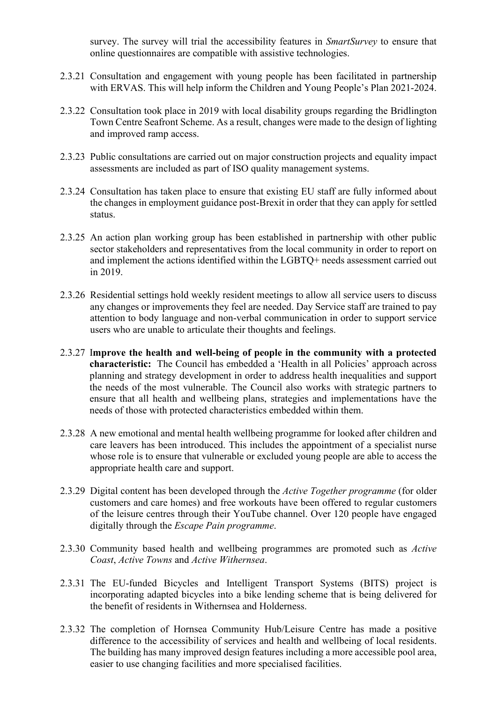survey. The survey will trial the accessibility features in *SmartSurvey* to ensure that online questionnaires are compatible with assistive technologies.

- 2.3.21 Consultation and engagement with young people has been facilitated in partnership with ERVAS. This will help inform the Children and Young People's Plan 2021-2024.
- 2.3.22 Consultation took place in 2019 with local disability groups regarding the Bridlington Town Centre Seafront Scheme. As a result, changes were made to the design of lighting and improved ramp access.
- 2.3.23 Public consultations are carried out on major construction projects and equality impact assessments are included as part of ISO quality management systems.
- 2.3.24 Consultation has taken place to ensure that existing EU staff are fully informed about the changes in employment guidance post-Brexit in order that they can apply for settled status.
- 2.3.25 An action plan working group has been established in partnership with other public sector stakeholders and representatives from the local community in order to report on and implement the actions identified within the LGBTQ+ needs assessment carried out in 2019.
- 2.3.26 Residential settings hold weekly resident meetings to allow all service users to discuss any changes or improvements they feel are needed. Day Service staff are trained to pay attention to body language and non-verbal communication in order to support service users who are unable to articulate their thoughts and feelings.
- 2.3.27 I**mprove the health and well-being of people in the community with a protected characteristic:** The Council has embedded a 'Health in all Policies' approach across planning and strategy development in order to address health inequalities and support the needs of the most vulnerable. The Council also works with strategic partners to ensure that all health and wellbeing plans, strategies and implementations have the needs of those with protected characteristics embedded within them.
- 2.3.28 A new emotional and mental health wellbeing programme for looked after children and care leavers has been introduced. This includes the appointment of a specialist nurse whose role is to ensure that vulnerable or excluded young people are able to access the appropriate health care and support.
- 2.3.29 Digital content has been developed through the *Active Together programme* (for older customers and care homes) and free workouts have been offered to regular customers of the leisure centres through their YouTube channel. Over 120 people have engaged digitally through the *Escape Pain programme*.
- 2.3.30 Community based health and wellbeing programmes are promoted such as *Active Coast*, *Active Towns* and *Active Withernsea*.
- 2.3.31 The EU-funded Bicycles and Intelligent Transport Systems (BITS) project is incorporating adapted bicycles into a bike lending scheme that is being delivered for the benefit of residents in Withernsea and Holderness.
- 2.3.32 The completion of Hornsea Community Hub/Leisure Centre has made a positive difference to the accessibility of services and health and wellbeing of local residents. The building has many improved design features including a more accessible pool area, easier to use changing facilities and more specialised facilities.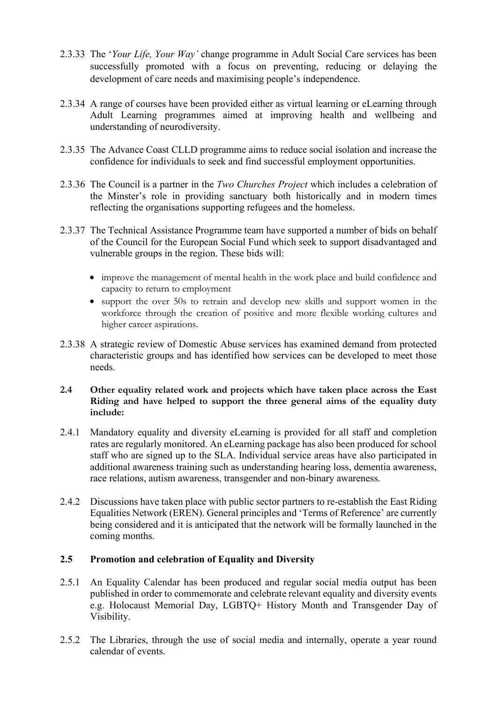- 2.3.33 The '*Your Life, Your Way'* change programme in Adult Social Care services has been successfully promoted with a focus on preventing, reducing or delaying the development of care needs and maximising people's independence.
- 2.3.34 A range of courses have been provided either as virtual learning or eLearning through Adult Learning programmes aimed at improving health and wellbeing and understanding of neurodiversity.
- 2.3.35 The Advance Coast CLLD programme aims to reduce social isolation and increase the confidence for individuals to seek and find successful employment opportunities.
- 2.3.36 The Council is a partner in the *Two Churches Project* which includes a celebration of the Minster's role in providing sanctuary both historically and in modern times reflecting the organisations supporting refugees and the homeless.
- 2.3.37 The Technical Assistance Programme team have supported a number of bids on behalf of the Council for the European Social Fund which seek to support disadvantaged and vulnerable groups in the region. These bids will:
	- improve the management of mental health in the work place and build confidence and capacity to return to employment
	- support the over 50s to retrain and develop new skills and support women in the workforce through the creation of positive and more flexible working cultures and higher career aspirations.
- 2.3.38 A strategic review of Domestic Abuse services has examined demand from protected characteristic groups and has identified how services can be developed to meet those needs.
- **2.4 Other equality related work and projects which have taken place across the East Riding and have helped to support the three general aims of the equality duty include:**
- 2.4.1 Mandatory equality and diversity eLearning is provided for all staff and completion rates are regularly monitored. An eLearning package has also been produced for school staff who are signed up to the SLA. Individual service areas have also participated in additional awareness training such as understanding hearing loss, dementia awareness, race relations, autism awareness, transgender and non-binary awareness.
- 2.4.2 Discussions have taken place with public sector partners to re-establish the East Riding Equalities Network (EREN). General principles and 'Terms of Reference' are currently being considered and it is anticipated that the network will be formally launched in the coming months.

#### **2.5 Promotion and celebration of Equality and Diversity**

- 2.5.1 An Equality Calendar has been produced and regular social media output has been published in order to commemorate and celebrate relevant equality and diversity events e.g. Holocaust Memorial Day, LGBTQ+ History Month and Transgender Day of Visibility.
- 2.5.2 The Libraries, through the use of social media and internally, operate a year round calendar of events.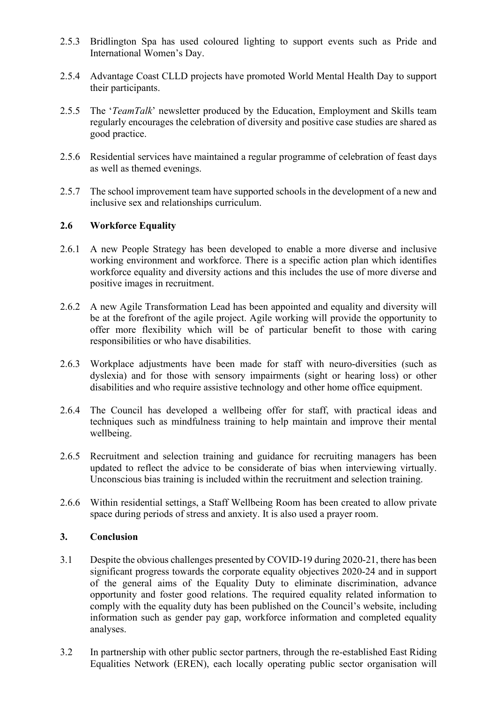- 2.5.3 Bridlington Spa has used coloured lighting to support events such as Pride and International Women's Day.
- 2.5.4 Advantage Coast CLLD projects have promoted World Mental Health Day to support their participants.
- 2.5.5 The '*TeamTalk*' newsletter produced by the Education, Employment and Skills team regularly encourages the celebration of diversity and positive case studies are shared as good practice.
- 2.5.6 Residential services have maintained a regular programme of celebration of feast days as well as themed evenings.
- 2.5.7 The school improvement team have supported schools in the development of a new and inclusive sex and relationships curriculum.

## **2.6 Workforce Equality**

- 2.6.1 A new People Strategy has been developed to enable a more diverse and inclusive working environment and workforce. There is a specific action plan which identifies workforce equality and diversity actions and this includes the use of more diverse and positive images in recruitment.
- 2.6.2 A new Agile Transformation Lead has been appointed and equality and diversity will be at the forefront of the agile project. Agile working will provide the opportunity to offer more flexibility which will be of particular benefit to those with caring responsibilities or who have disabilities.
- 2.6.3 Workplace adjustments have been made for staff with neuro-diversities (such as dyslexia) and for those with sensory impairments (sight or hearing loss) or other disabilities and who require assistive technology and other home office equipment.
- 2.6.4 The Council has developed a wellbeing offer for staff, with practical ideas and techniques such as mindfulness training to help maintain and improve their mental wellbeing.
- 2.6.5 Recruitment and selection training and guidance for recruiting managers has been updated to reflect the advice to be considerate of bias when interviewing virtually. Unconscious bias training is included within the recruitment and selection training.
- 2.6.6 Within residential settings, a Staff Wellbeing Room has been created to allow private space during periods of stress and anxiety. It is also used a prayer room.

#### **3. Conclusion**

- 3.1 Despite the obvious challenges presented by COVID-19 during 2020-21, there has been significant progress towards the corporate equality objectives 2020-24 and in support of the general aims of the Equality Duty to eliminate discrimination, advance opportunity and foster good relations. The required equality related information to comply with the equality duty has been published on the Council's website, including information such as gender pay gap, workforce information and completed equality analyses.
- 3.2 In partnership with other public sector partners, through the re-established East Riding Equalities Network (EREN), each locally operating public sector organisation will